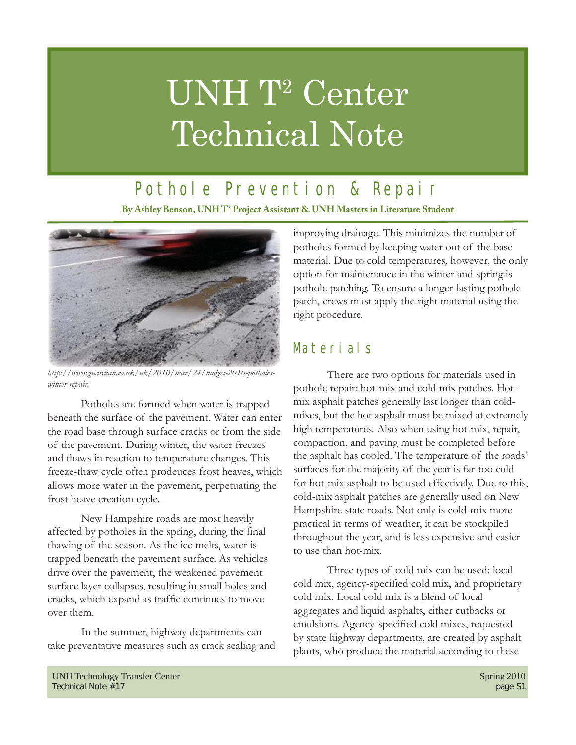# UNH T<sup>2</sup> Center Technical Note

## Pothole Prevention & Repair

**By Ashley Benson, UNH T2 Project Assistant & UNH Masters in Literature Student**



*http://www.guardian.co.uk/uk/2010/mar/24/budget-2010-potholeswinter-repair.*

 Potholes are formed when water is trapped beneath the surface of the pavement. Water can enter the road base through surface cracks or from the side of the pavement. During winter, the water freezes and thaws in reaction to temperature changes. This freeze-thaw cycle often prodeuces frost heaves, which allows more water in the pavement, perpetuating the frost heave creation cycle.

 New Hampshire roads are most heavily affected by potholes in the spring, during the final thawing of the season. As the ice melts, water is trapped beneath the pavement surface. As vehicles drive over the pavement, the weakened pavement surface layer collapses, resulting in small holes and cracks, which expand as traffic continues to move over them.

 In the summer, highway departments can take preventative measures such as crack sealing and improving drainage. This minimizes the number of potholes formed by keeping water out of the base material. Due to cold temperatures, however, the only option for maintenance in the winter and spring is pothole patching. To ensure a longer-lasting pothole patch, crews must apply the right material using the right procedure.

## Materials

 There are two options for materials used in pothole repair: hot-mix and cold-mix patches. Hotmix asphalt patches generally last longer than coldmixes, but the hot asphalt must be mixed at extremely high temperatures. Also when using hot-mix, repair, compaction, and paving must be completed before the asphalt has cooled. The temperature of the roads' surfaces for the majority of the year is far too cold for hot-mix asphalt to be used effectively. Due to this, cold-mix asphalt patches are generally used on New Hampshire state roads. Not only is cold-mix more practical in terms of weather, it can be stockpiled throughout the year, and is less expensive and easier to use than hot-mix.

 Three types of cold mix can be used: local cold mix, agency-specified cold mix, and proprietary cold mix. Local cold mix is a blend of local aggregates and liquid asphalts, either cutbacks or emulsions. Agency-specified cold mixes, requested by state highway departments, are created by asphalt plants, who produce the material according to these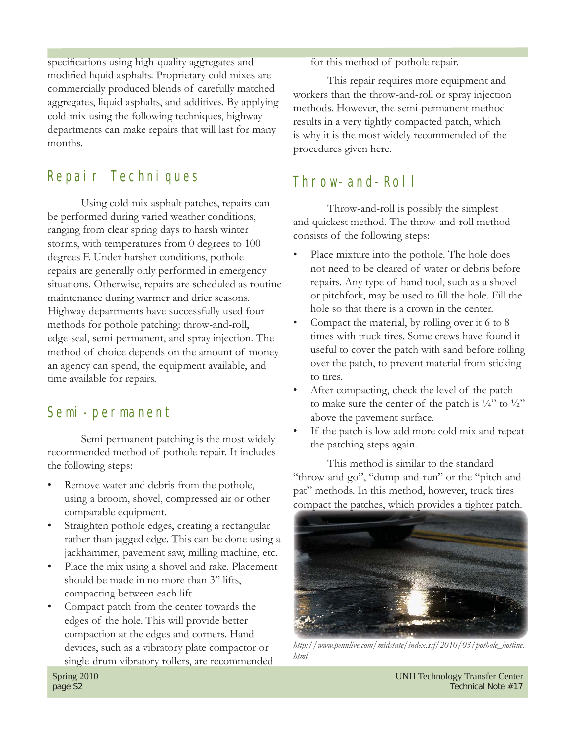specifications using high-quality aggregates and modified liquid asphalts. Proprietary cold mixes are commercially produced blends of carefully matched aggregates, liquid asphalts, and additives. By applying cold-mix using the following techniques, highway departments can make repairs that will last for many months.

#### Repair Techniques

 Using cold-mix asphalt patches, repairs can be performed during varied weather conditions, ranging from clear spring days to harsh winter storms, with temperatures from 0 degrees to 100 degrees F. Under harsher conditions, pothole repairs are generally only performed in emergency situations. Otherwise, repairs are scheduled as routine maintenance during warmer and drier seasons. Highway departments have successfully used four methods for pothole patching: throw-and-roll, edge-seal, semi-permanent, and spray injection. The method of choice depends on the amount of money an agency can spend, the equipment available, and time available for repairs.

#### Semi-permanent

 Semi-permanent patching is the most widely recommended method of pothole repair. It includes the following steps:

- Remove water and debris from the pothole, using a broom, shovel, compressed air or other comparable equipment.
- Straighten pothole edges, creating a rectangular rather than jagged edge. This can be done using a jackhammer, pavement saw, milling machine, etc.
- Place the mix using a shovel and rake. Placement should be made in no more than 3" lifts, compacting between each lift.
- Compact patch from the center towards the edges of the hole. This will provide better compaction at the edges and corners. Hand devices, such as a vibratory plate compactor or single-drum vibratory rollers, are recommended

for this method of pothole repair.

 This repair requires more equipment and workers than the throw-and-roll or spray injection methods. However, the semi-permanent method results in a very tightly compacted patch, which is why it is the most widely recommended of the procedures given here.

#### Throw-and-Roll

 Throw-and-roll is possibly the simplest and quickest method. The throw-and-roll method consists of the following steps:

- Place mixture into the pothole. The hole does not need to be cleared of water or debris before repairs. Any type of hand tool, such as a shovel or pitchfork, may be used to fill the hole. Fill the hole so that there is a crown in the center.
- Compact the material, by rolling over it 6 to 8 times with truck tires. Some crews have found it useful to cover the patch with sand before rolling over the patch, to prevent material from sticking to tires.
- After compacting, check the level of the patch to make sure the center of the patch is  $\frac{1}{4}$ " to  $\frac{1}{2}$ " above the pavement surface.
- If the patch is low add more cold mix and repeat the patching steps again.

 This method is similar to the standard "throw-and-go", "dump-and-run" or the "pitch-andpat" methods. In this method, however, truck tires compact the patches, which provides a tighter patch.



*http://www.pennlive.com/midstate/index.ssf/2010/03/pothole\_hotline. html*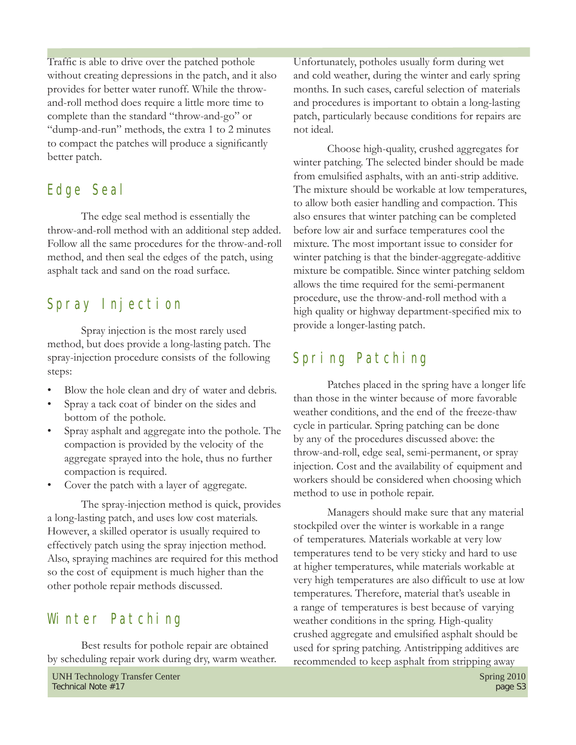Traffic is able to drive over the patched pothole without creating depressions in the patch, and it also provides for better water runoff. While the throwand-roll method does require a little more time to complete than the standard "throw-and-go" or "dump-and-run" methods, the extra 1 to 2 minutes to compact the patches will produce a significantly better patch.

#### Edge Seal

 The edge seal method is essentially the throw-and-roll method with an additional step added. Follow all the same procedures for the throw-and-roll method, and then seal the edges of the patch, using asphalt tack and sand on the road surface.

#### Spray Injection

 Spray injection is the most rarely used method, but does provide a long-lasting patch. The spray-injection procedure consists of the following steps:

- Blow the hole clean and dry of water and debris.
- Spray a tack coat of binder on the sides and bottom of the pothole.
- Spray asphalt and aggregate into the pothole. The compaction is provided by the velocity of the aggregate sprayed into the hole, thus no further compaction is required.
- Cover the patch with a layer of aggregate.

 The spray-injection method is quick, provides a long-lasting patch, and uses low cost materials. However, a skilled operator is usually required to effectively patch using the spray injection method. Also, spraying machines are required for this method so the cost of equipment is much higher than the other pothole repair methods discussed.

#### Winter Patching

 Best results for pothole repair are obtained by scheduling repair work during dry, warm weather. Unfortunately, potholes usually form during wet and cold weather, during the winter and early spring months. In such cases, careful selection of materials and procedures is important to obtain a long-lasting patch, particularly because conditions for repairs are not ideal.

 Choose high-quality, crushed aggregates for winter patching. The selected binder should be made from emulsified asphalts, with an anti-strip additive. The mixture should be workable at low temperatures, to allow both easier handling and compaction. This also ensures that winter patching can be completed before low air and surface temperatures cool the mixture. The most important issue to consider for winter patching is that the binder-aggregate-additive mixture be compatible. Since winter patching seldom allows the time required for the semi-permanent procedure, use the throw-and-roll method with a high quality or highway department-specified mix to provide a longer-lasting patch.

#### Spring Patching

 Patches placed in the spring have a longer life than those in the winter because of more favorable weather conditions, and the end of the freeze-thaw cycle in particular. Spring patching can be done by any of the procedures discussed above: the throw-and-roll, edge seal, semi-permanent, or spray injection. Cost and the availability of equipment and workers should be considered when choosing which method to use in pothole repair.

 Managers should make sure that any material stockpiled over the winter is workable in a range of temperatures. Materials workable at very low temperatures tend to be very sticky and hard to use at higher temperatures, while materials workable at very high temperatures are also difficult to use at low temperatures. Therefore, material that's useable in a range of temperatures is best because of varying weather conditions in the spring. High-quality crushed aggregate and emulsified asphalt should be used for spring patching. Antistripping additives are recommended to keep asphalt from stripping away